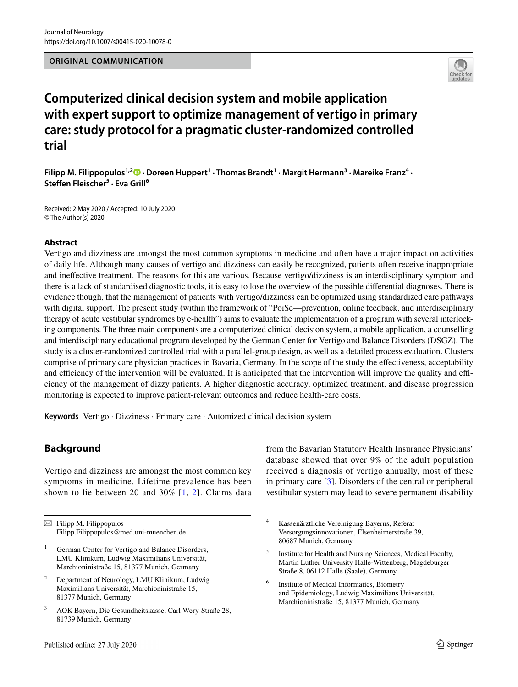

# **Computerized clinical decision system and mobile application with expert support to optimize management of vertigo in primary care: study protocol for a pragmatic cluster‑randomized controlled trial**

**Filipp M. Filippopulos<sup>1,2</sup>D [·](http://orcid.org/0000-0002-2649-653X) Doreen Huppert<sup>1</sup> · Thomas Brandt<sup>1</sup> · Margit Hermann<sup>3</sup> · Mareike Franz<sup>4</sup> · Stefen Fleischer<sup>5</sup> · Eva Grill6**

Received: 2 May 2020 / Accepted: 10 July 2020 © The Author(s) 2020

# **Abstract**

Vertigo and dizziness are amongst the most common symptoms in medicine and often have a major impact on activities of daily life. Although many causes of vertigo and dizziness can easily be recognized, patients often receive inappropriate and inefective treatment. The reasons for this are various. Because vertigo/dizziness is an interdisciplinary symptom and there is a lack of standardised diagnostic tools, it is easy to lose the overview of the possible diferential diagnoses. There is evidence though, that the management of patients with vertigo/dizziness can be optimized using standardized care pathways with digital support. The present study (within the framework of "PoiSe—prevention, online feedback, and interdisciplinary therapy of acute vestibular syndromes by e-health") aims to evaluate the implementation of a program with several interlocking components. The three main components are a computerized clinical decision system, a mobile application, a counselling and interdisciplinary educational program developed by the German Center for Vertigo and Balance Disorders (DSGZ). The study is a cluster-randomized controlled trial with a parallel-group design, as well as a detailed process evaluation. Clusters comprise of primary care physician practices in Bavaria, Germany. In the scope of the study the efectiveness, acceptability and efficiency of the intervention will be evaluated. It is anticipated that the intervention will improve the quality and efficiency of the management of dizzy patients. A higher diagnostic accuracy, optimized treatment, and disease progression monitoring is expected to improve patient-relevant outcomes and reduce health-care costs.

**Keywords** Vertigo · Dizziness · Primary care · Automized clinical decision system

# **Background**

Vertigo and dizziness are amongst the most common key symptoms in medicine. Lifetime prevalence has been shown to lie between 20 and 30%  $[1, 2]$  $[1, 2]$  $[1, 2]$  $[1, 2]$ . Claims data from the Bavarian Statutory Health Insurance Physicians' database showed that over 9% of the adult population received a diagnosis of vertigo annually, most of these in primary care [[3](#page-5-1)]. Disorders of the central or peripheral vestibular system may lead to severe permanent disability

- <sup>4</sup> Kassenärztliche Vereinigung Bayerns, Referat Versorgungsinnovationen, Elsenheimerstraße 39, 80687 Munich, Germany
- <sup>5</sup> Institute for Health and Nursing Sciences, Medical Faculty, Martin Luther University Halle-Wittenberg, Magdeburger Straße 8, 06112 Halle (Saale), Germany
- <sup>6</sup> Institute of Medical Informatics, Biometry and Epidemiology, Ludwig Maximilians Universität, Marchioninistraße 15, 81377 Munich, Germany

 $\boxtimes$  Filipp M. Filippopulos Filipp.Filippopulos@med.uni-muenchen.de

German Center for Vertigo and Balance Disorders, LMU Klinikum, Ludwig Maximilians Universität, Marchioninistraße 15, 81377 Munich, Germany

<sup>2</sup> Department of Neurology, LMU Klinikum, Ludwig Maximilians Universität, Marchioninistraße 15, 81377 Munich, Germany

<sup>3</sup> AOK Bayern, Die Gesundheitskasse, Carl-Wery-Straße 28, 81739 Munich, Germany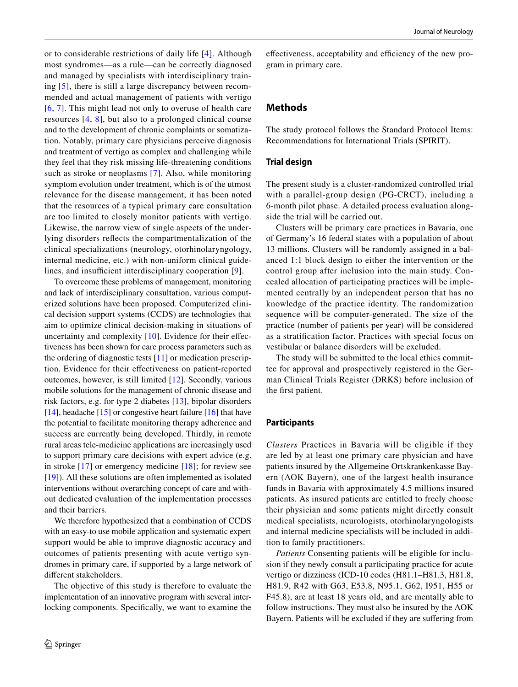or to considerable restrictions of daily life [\[4\]](#page-5-2). Although most syndromes—as a rule—can be correctly diagnosed and managed by specialists with interdisciplinary training [[5](#page-5-3)], there is still a large discrepancy between recommended and actual management of patients with vertigo [[6,](#page-5-4) [7](#page-5-5)]. This might lead not only to overuse of health care resources [[4](#page-5-2), [8\]](#page-5-6), but also to a prolonged clinical course and to the development of chronic complaints or somatization. Notably, primary care physicians perceive diagnosis and treatment of vertigo as complex and challenging while they feel that they risk missing life-threatening conditions such as stroke or neoplasms [[7](#page-5-5)]. Also, while monitoring symptom evolution under treatment, which is of the utmost relevance for the disease management, it has been noted that the resources of a typical primary care consultation are too limited to closely monitor patients with vertigo. Likewise, the narrow view of single aspects of the underlying disorders refects the compartmentalization of the clinical specializations (neurology, otorhinolaryngology, internal medicine, etc.) with non-uniform clinical guide-lines, and insufficient interdisciplinary cooperation [\[9\]](#page-5-7).

To overcome these problems of management, monitoring and lack of interdisciplinary consultation, various computerized solutions have been proposed. Computerized clinical decision support systems (CCDS) are technologies that aim to optimize clinical decision-making in situations of uncertainty and complexity [[10](#page-5-8)]. Evidence for their effectiveness has been shown for care process parameters such as the ordering of diagnostic tests [[11](#page-5-9)] or medication prescription. Evidence for their efectiveness on patient-reported outcomes, however, is still limited [[12\]](#page-5-10). Secondly, various mobile solutions for the management of chronic disease and risk factors, e.g. for type 2 diabetes [\[13\]](#page-5-11), bipolar disorders [\[14](#page-5-12)], headache [[15\]](#page-5-13) or congestive heart failure [\[16](#page-5-14)] that have the potential to facilitate monitoring therapy adherence and success are currently being developed. Thirdly, in remote rural areas tele-medicine applications are increasingly used to support primary care decisions with expert advice (e.g. in stroke [[17](#page-5-15)] or emergency medicine [[18](#page-5-16)]; for review see [\[19\]](#page-5-17)). All these solutions are often implemented as isolated interventions without overarching concept of care and without dedicated evaluation of the implementation processes and their barriers.

We therefore hypothesized that a combination of CCDS with an easy-to use mobile application and systematic expert support would be able to improve diagnostic accuracy and outcomes of patients presenting with acute vertigo syndromes in primary care, if supported by a large network of diferent stakeholders.

The objective of this study is therefore to evaluate the implementation of an innovative program with several interlocking components. Specifcally, we want to examine the

effectiveness, acceptability and efficiency of the new program in primary care.

# **Methods**

The study protocol follows the Standard Protocol Items: Recommendations for International Trials (SPIRIT).

### **Trial design**

The present study is a cluster-randomized controlled trial with a parallel-group design (PG-CRCT), including a 6-month pilot phase. A detailed process evaluation alongside the trial will be carried out.

Clusters will be primary care practices in Bavaria, one of Germany's 16 federal states with a population of about 13 millions. Clusters will be randomly assigned in a balanced 1:1 block design to either the intervention or the control group after inclusion into the main study. Concealed allocation of participating practices will be implemented centrally by an independent person that has no knowledge of the practice identity. The randomization sequence will be computer-generated. The size of the practice (number of patients per year) will be considered as a stratifcation factor. Practices with special focus on vestibular or balance disorders will be excluded.

The study will be submitted to the local ethics committee for approval and prospectively registered in the German Clinical Trials Register (DRKS) before inclusion of the frst patient.

#### **Participants**

*Clusters* Practices in Bavaria will be eligible if they are led by at least one primary care physician and have patients insured by the Allgemeine Ortskrankenkasse Bayern (AOK Bayern), one of the largest health insurance funds in Bavaria with approximately 4.5 millions insured patients. As insured patients are entitled to freely choose their physician and some patients might directly consult medical specialists, neurologists, otorhinolaryngologists and internal medicine specialists will be included in addition to family practitioners.

*Patients* Consenting patients will be eligible for inclusion if they newly consult a participating practice for acute vertigo or dizziness (ICD-10 codes (H81.1–H81.3, H81.8, H81.9, R42 with G63, E53.8, N95.1, G62, I951, H55 or F45.8), are at least 18 years old, and are mentally able to follow instructions. They must also be insured by the AOK Bayern. Patients will be excluded if they are sufering from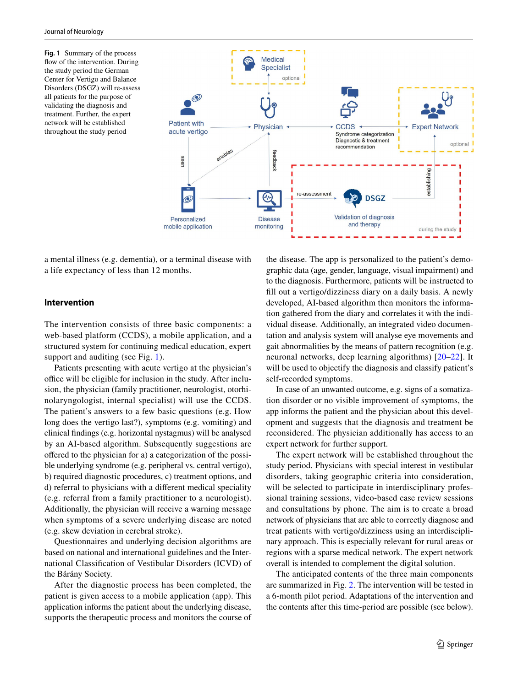<span id="page-2-0"></span>**Fig. 1** Summary of the process flow of the intervention. During the study period the German Center for Vertigo and Balance Disorders (DSGZ) will re-assess all patients for the purpose of validating the diagnosis and treatment. Further, the expert network will be established throughout the study period



a mental illness (e.g. dementia), or a terminal disease with a life expectancy of less than 12 months.

## **Intervention**

The intervention consists of three basic components: a web-based platform (CCDS), a mobile application, and a structured system for continuing medical education, expert support and auditing (see Fig. [1](#page-2-0)).

Patients presenting with acute vertigo at the physician's office will be eligible for inclusion in the study. After inclusion, the physician (family practitioner, neurologist, otorhinolaryngologist, internal specialist) will use the CCDS. The patient's answers to a few basic questions (e.g. How long does the vertigo last?), symptoms (e.g. vomiting) and clinical fndings (e.g. horizontal nystagmus) will be analysed by an AI-based algorithm. Subsequently suggestions are offered to the physician for a) a categorization of the possible underlying syndrome (e.g. peripheral vs. central vertigo), b) required diagnostic procedures, c) treatment options, and d) referral to physicians with a diferent medical speciality (e.g. referral from a family practitioner to a neurologist). Additionally, the physician will receive a warning message when symptoms of a severe underlying disease are noted (e.g. skew deviation in cerebral stroke).

Questionnaires and underlying decision algorithms are based on national and international guidelines and the International Classifcation of Vestibular Disorders (ICVD) of the Bárány Society.

After the diagnostic process has been completed, the patient is given access to a mobile application (app). This application informs the patient about the underlying disease, supports the therapeutic process and monitors the course of

the disease. The app is personalized to the patient's demographic data (age, gender, language, visual impairment) and to the diagnosis. Furthermore, patients will be instructed to fll out a vertigo/dizziness diary on a daily basis. A newly developed, AI-based algorithm then monitors the information gathered from the diary and correlates it with the individual disease. Additionally, an integrated video documentation and analysis system will analyse eye movements and gait abnormalities by the means of pattern recognition (e.g. neuronal networks, deep learning algorithms) [[20](#page-5-18)[–22\]](#page-5-19). It will be used to objectify the diagnosis and classify patient's self-recorded symptoms.

In case of an unwanted outcome, e.g. signs of a somatization disorder or no visible improvement of symptoms, the app informs the patient and the physician about this development and suggests that the diagnosis and treatment be reconsidered. The physician additionally has access to an expert network for further support.

The expert network will be established throughout the study period. Physicians with special interest in vestibular disorders, taking geographic criteria into consideration, will be selected to participate in interdisciplinary professional training sessions, video-based case review sessions and consultations by phone. The aim is to create a broad network of physicians that are able to correctly diagnose and treat patients with vertigo/dizziness using an interdisciplinary approach. This is especially relevant for rural areas or regions with a sparse medical network. The expert network overall is intended to complement the digital solution.

The anticipated contents of the three main components are summarized in Fig. [2](#page-3-0). The intervention will be tested in a 6-month pilot period. Adaptations of the intervention and the contents after this time-period are possible (see below).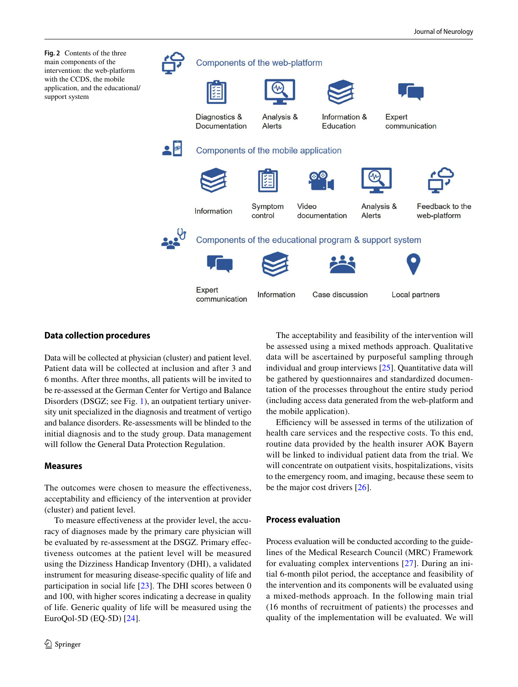<span id="page-3-0"></span>

# **Data collection procedures**

Data will be collected at physician (cluster) and patient level. Patient data will be collected at inclusion and after 3 and 6 months. After three months, all patients will be invited to be re-assessed at the German Center for Vertigo and Balance Disorders (DSGZ; see Fig. [1\)](#page-2-0), an outpatient tertiary university unit specialized in the diagnosis and treatment of vertigo and balance disorders. Re-assessments will be blinded to the initial diagnosis and to the study group. Data management will follow the General Data Protection Regulation.

# **Measures**

The outcomes were chosen to measure the effectiveness, acceptability and efficiency of the intervention at provider (cluster) and patient level.

To measure efectiveness at the provider level, the accuracy of diagnoses made by the primary care physician will be evaluated by re-assessment at the DSGZ. Primary efectiveness outcomes at the patient level will be measured using the Dizziness Handicap Inventory (DHI), a validated instrument for measuring disease-specifc quality of life and participation in social life [[23\]](#page-5-20). The DHI scores between 0 and 100, with higher scores indicating a decrease in quality of life. Generic quality of life will be measured using the EuroQol-5D (EQ-5D) [[24\]](#page-5-21).

The acceptability and feasibility of the intervention will be assessed using a mixed methods approach. Qualitative data will be ascertained by purposeful sampling through individual and group interviews [\[25](#page-5-22)]. Quantitative data will be gathered by questionnaires and standardized documentation of the processes throughout the entire study period (including access data generated from the web-platform and the mobile application).

Efficiency will be assessed in terms of the utilization of health care services and the respective costs. To this end, routine data provided by the health insurer AOK Bayern will be linked to individual patient data from the trial. We will concentrate on outpatient visits, hospitalizations, visits to the emergency room, and imaging, because these seem to be the major cost drivers [\[26\]](#page-5-23).

#### **Process evaluation**

Process evaluation will be conducted according to the guidelines of the Medical Research Council (MRC) Framework for evaluating complex interventions [\[27\]](#page-5-24). During an initial 6-month pilot period, the acceptance and feasibility of the intervention and its components will be evaluated using a mixed-methods approach. In the following main trial (16 months of recruitment of patients) the processes and quality of the implementation will be evaluated. We will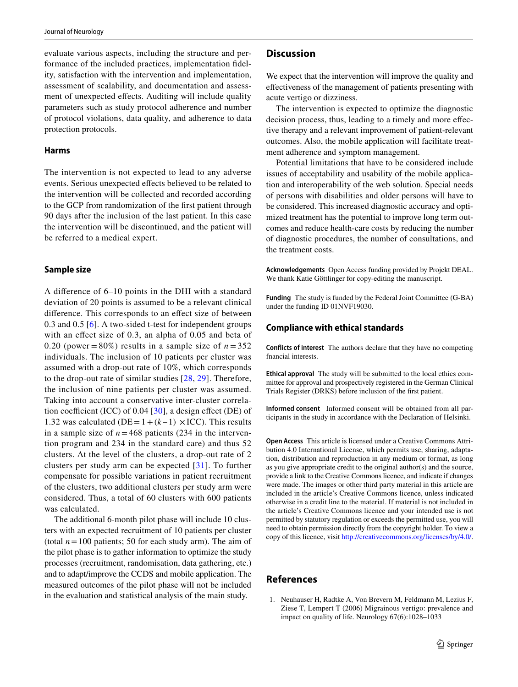evaluate various aspects, including the structure and performance of the included practices, implementation fdelity, satisfaction with the intervention and implementation, assessment of scalability, and documentation and assessment of unexpected effects. Auditing will include quality parameters such as study protocol adherence and number of protocol violations, data quality, and adherence to data protection protocols.

#### **Harms**

The intervention is not expected to lead to any adverse events. Serious unexpected effects believed to be related to the intervention will be collected and recorded according to the GCP from randomization of the frst patient through 90 days after the inclusion of the last patient. In this case the intervention will be discontinued, and the patient will be referred to a medical expert.

#### **Sample size**

A diference of 6–10 points in the DHI with a standard deviation of 20 points is assumed to be a relevant clinical diference. This corresponds to an efect size of between 0.3 and 0.5 [[6](#page-5-4)]. A two-sided t-test for independent groups with an efect size of 0.3, an alpha of 0.05 and beta of 0.20 (power =  $80\%$ ) results in a sample size of  $n = 352$ individuals. The inclusion of 10 patients per cluster was assumed with a drop-out rate of 10%, which corresponds to the drop-out rate of similar studies [\[28,](#page-5-25) [29](#page-5-26)]. Therefore, the inclusion of nine patients per cluster was assumed. Taking into account a conservative inter-cluster correlation coefficient (ICC) of 0.04 [ $30$ ], a design effect (DE) of 1.32 was calculated ( $DE = 1 + (k-1) \times ICC$ ). This results in a sample size of  $n = 468$  patients (234 in the intervention program and 234 in the standard care) and thus 52 clusters. At the level of the clusters, a drop-out rate of 2 clusters per study arm can be expected [[31\]](#page-5-28). To further compensate for possible variations in patient recruitment of the clusters, two additional clusters per study arm were considered. Thus, a total of 60 clusters with 600 patients was calculated.

The additional 6-month pilot phase will include 10 clusters with an expected recruitment of 10 patients per cluster (total  $n = 100$  patients; 50 for each study arm). The aim of the pilot phase is to gather information to optimize the study processes (recruitment, randomisation, data gathering, etc.) and to adapt/improve the CCDS and mobile application. The measured outcomes of the pilot phase will not be included in the evaluation and statistical analysis of the main study.

## **Discussion**

We expect that the intervention will improve the quality and efectiveness of the management of patients presenting with acute vertigo or dizziness.

The intervention is expected to optimize the diagnostic decision process, thus, leading to a timely and more efective therapy and a relevant improvement of patient-relevant outcomes. Also, the mobile application will facilitate treatment adherence and symptom management.

Potential limitations that have to be considered include issues of acceptability and usability of the mobile application and interoperability of the web solution. Special needs of persons with disabilities and older persons will have to be considered. This increased diagnostic accuracy and optimized treatment has the potential to improve long term outcomes and reduce health-care costs by reducing the number of diagnostic procedures, the number of consultations, and the treatment costs.

**Acknowledgements** Open Access funding provided by Projekt DEAL. We thank Katie Göttlinger for copy-editing the manuscript.

**Funding** The study is funded by the Federal Joint Committee (G-BA) under the funding ID 01NVF19030.

#### **Compliance with ethical standards**

**Conflicts of interest** The authors declare that they have no competing fnancial interests.

**Ethical approval** The study will be submitted to the local ethics committee for approval and prospectively registered in the German Clinical Trials Register (DRKS) before inclusion of the frst patient.

**Informed consent** Informed consent will be obtained from all participants in the study in accordance with the Declaration of Helsinki.

**Open Access** This article is licensed under a Creative Commons Attribution 4.0 International License, which permits use, sharing, adaptation, distribution and reproduction in any medium or format, as long as you give appropriate credit to the original author(s) and the source, provide a link to the Creative Commons licence, and indicate if changes were made. The images or other third party material in this article are included in the article's Creative Commons licence, unless indicated otherwise in a credit line to the material. If material is not included in the article's Creative Commons licence and your intended use is not permitted by statutory regulation or exceeds the permitted use, you will need to obtain permission directly from the copyright holder. To view a copy of this licence, visit<http://creativecommons.org/licenses/by/4.0/>.

# **References**

<span id="page-4-0"></span>1. Neuhauser H, Radtke A, Von Brevern M, Feldmann M, Lezius F, Ziese T, Lempert T (2006) Migrainous vertigo: prevalence and impact on quality of life. Neurology 67(6):1028–1033